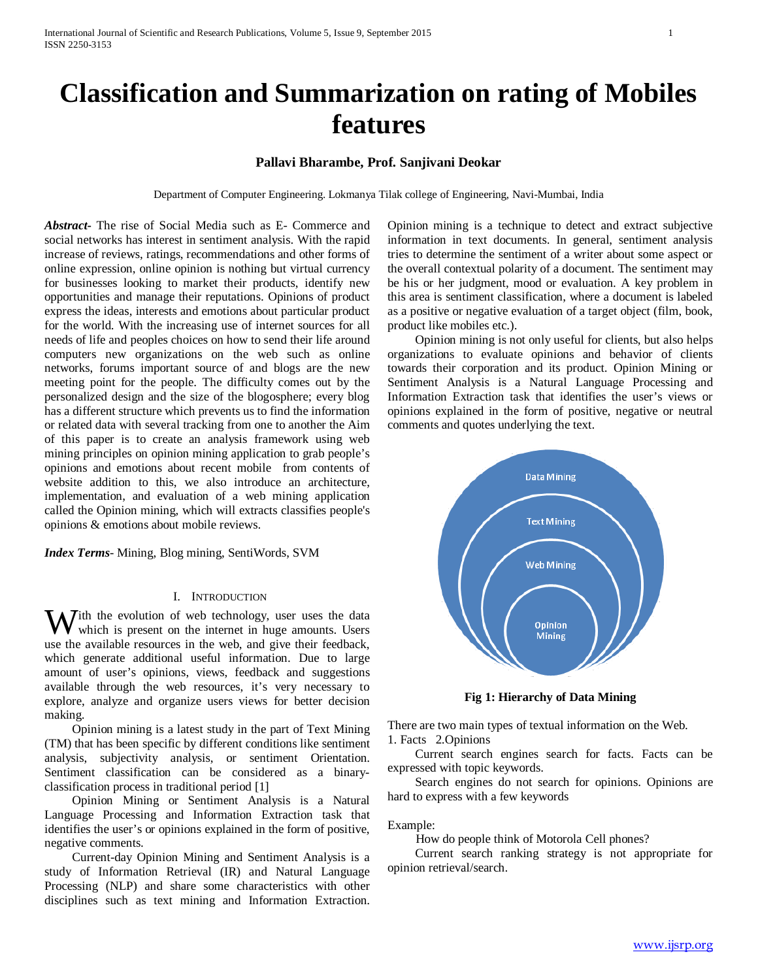# **Classification and Summarization on rating of Mobiles features**

# **Pallavi Bharambe, Prof. Sanjivani Deokar**

Department of Computer Engineering. Lokmanya Tilak college of Engineering, Navi-Mumbai, India

*Abstract***-** The rise of Social Media such as E- Commerce and social networks has interest in sentiment analysis. With the rapid increase of reviews, ratings, recommendations and other forms of online expression, online opinion is nothing but virtual currency for businesses looking to market their products, identify new opportunities and manage their reputations. Opinions of product express the ideas, interests and emotions about particular product for the world. With the increasing use of internet sources for all needs of life and peoples choices on how to send their life around computers new organizations on the web such as online networks, forums important source of and blogs are the new meeting point for the people. The difficulty comes out by the personalized design and the size of the blogosphere; every blog has a different structure which prevents us to find the information or related data with several tracking from one to another the Aim of this paper is to create an analysis framework using web mining principles on opinion mining application to grab people's opinions and emotions about recent mobile from contents of website addition to this, we also introduce an architecture, implementation, and evaluation of a web mining application called the Opinion mining, which will extracts classifies people's opinions & emotions about mobile reviews.

*Index Terms*- Mining, Blog mining, SentiWords, SVM

## I. INTRODUCTION

 $\mathbf{W}$  ith the evolution of web technology, user uses the data which is present on the internet in huge amounts. Users  $\blacktriangledown$  which is present on the internet in huge amounts. Users use the available resources in the web, and give their feedback, which generate additional useful information. Due to large amount of user's opinions, views, feedback and suggestions available through the web resources, it's very necessary to explore, analyze and organize users views for better decision making.

 Opinion mining is a latest study in the part of Text Mining (TM) that has been specific by different conditions like sentiment analysis, subjectivity analysis, or sentiment Orientation. Sentiment classification can be considered as a binaryclassification process in traditional period [1]

 Opinion Mining or Sentiment Analysis is a Natural Language Processing and Information Extraction task that identifies the user's or opinions explained in the form of positive, negative comments.

 Current-day Opinion Mining and Sentiment Analysis is a study of Information Retrieval (IR) and Natural Language Processing (NLP) and share some characteristics with other disciplines such as text mining and Information Extraction. Opinion mining is a technique to detect and extract subjective information in text documents. In general, sentiment analysis tries to determine the sentiment of a writer about some aspect or the overall contextual polarity of a document. The sentiment may be his or her judgment, mood or evaluation. A key problem in this area is sentiment classification, where a document is labeled as a positive or negative evaluation of a target object (film, book, product like mobiles etc.).

 Opinion mining is not only useful for clients, but also helps organizations to evaluate opinions and behavior of clients towards their corporation and its product. Opinion Mining or Sentiment Analysis is a Natural Language Processing and Information Extraction task that identifies the user's views or opinions explained in the form of positive, negative or neutral comments and quotes underlying the text.



**Fig 1: Hierarchy of Data Mining**

There are two main types of textual information on the Web. 1. Facts 2.Opinions

 Current search engines search for facts. Facts can be expressed with topic keywords.

 Search engines do not search for opinions. Opinions are hard to express with a few keywords

Example:

How do people think of Motorola Cell phones?

 Current search ranking strategy is not appropriate for opinion retrieval/search.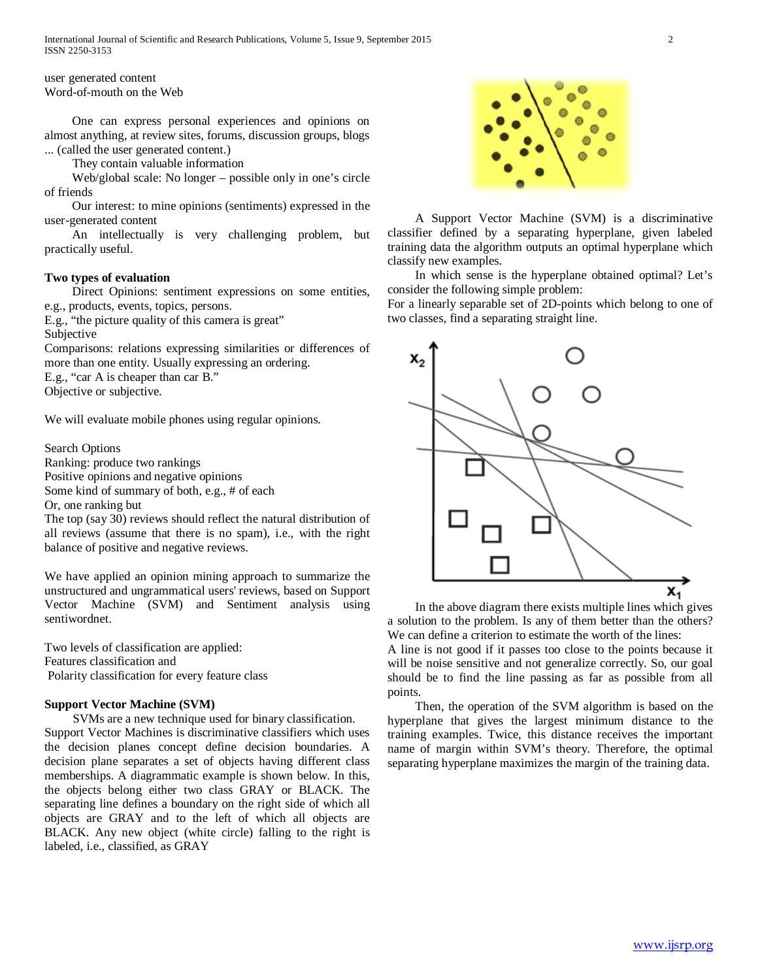user generated content Word-of-mouth on the Web

 One can express personal experiences and opinions on almost anything, at review sites, forums, discussion groups, blogs ... (called the user generated content.)

They contain valuable information

 Web/global scale: No longer – possible only in one's circle of friends

 Our interest: to mine opinions (sentiments) expressed in the user-generated content

 An intellectually is very challenging problem, but practically useful.

## **Two types of evaluation**

 Direct Opinions: sentiment expressions on some entities, e.g., products, events, topics, persons.

E.g., "the picture quality of this camera is great"

Subjective

Comparisons: relations expressing similarities or differences of more than one entity. Usually expressing an ordering.

E.g., "car A is cheaper than car B."

Objective or subjective.

We will evaluate mobile phones using regular opinions.

Search Options

Ranking: produce two rankings

Positive opinions and negative opinions

Some kind of summary of both, e.g., # of each

Or, one ranking but

The top (say 30) reviews should reflect the natural distribution of all reviews (assume that there is no spam), i.e., with the right balance of positive and negative reviews.

We have applied an opinion mining approach to summarize the unstructured and ungrammatical users' reviews, based on Support Vector Machine (SVM) and Sentiment analysis using sentiwordnet.

Two levels of classification are applied: Features classification and Polarity classification for every feature class

#### **Support Vector Machine (SVM)**

 SVMs are a new technique used for binary classification. Support Vector Machines is discriminative classifiers which uses the decision planes concept define decision boundaries. A decision plane separates a set of objects having different class memberships. A diagrammatic example is shown below. In this, the objects belong either two class GRAY or BLACK. The separating line defines a boundary on the right side of which all objects are GRAY and to the left of which all objects are BLACK. Any new object (white circle) falling to the right is labeled, i.e., classified, as GRAY



 A Support Vector Machine (SVM) is a discriminative classifier defined by a separating hyperplane, given labeled training data the algorithm outputs an optimal hyperplane which classify new examples.

 In which sense is the hyperplane obtained optimal? Let's consider the following simple problem:

For a linearly separable set of 2D-points which belong to one of two classes, find a separating straight line.



 In the above diagram there exists multiple lines which gives a solution to the problem. Is any of them better than the others? We can define a criterion to estimate the worth of the lines:

A line is not good if it passes too close to the points because it will be noise sensitive and not generalize correctly. So, our goal should be to find the line passing as far as possible from all points.

 Then, the operation of the SVM algorithm is based on the hyperplane that gives the largest minimum distance to the training examples. Twice, this distance receives the important name of margin within SVM's theory. Therefore, the optimal separating hyperplane maximizes the margin of the training data.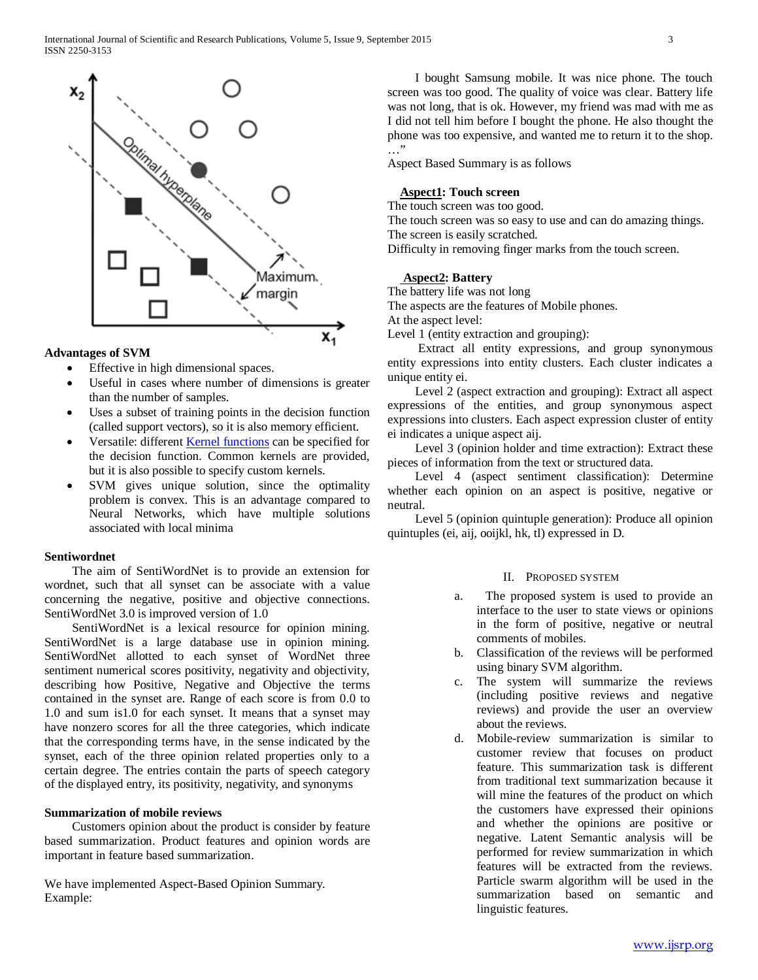

# **Advantages of SVM**

- Effective in high dimensional spaces.
- Useful in cases where number of dimensions is greater than the number of samples.
- Uses a subset of training points in the decision function (called support vectors), so it is also memory efficient.
- Versatile: different **Kernel functions** can be specified for the decision function. Common kernels are provided, but it is also possible to specify custom kernels.
- SVM gives unique solution, since the optimality problem is convex. This is an advantage compared to Neural Networks, which have multiple solutions associated with local minima

## **Sentiwordnet**

 The aim of SentiWordNet is to provide an extension for wordnet, such that all synset can be associate with a value concerning the negative, positive and objective connections. SentiWordNet 3.0 is improved version of 1.0

 SentiWordNet is a lexical resource for opinion mining. SentiWordNet is a large database use in opinion mining. SentiWordNet allotted to each synset of WordNet three sentiment numerical scores positivity, negativity and objectivity, describing how Positive, Negative and Objective the terms contained in the synset are. Range of each score is from 0.0 to 1.0 and sum is1.0 for each synset. It means that a synset may have nonzero scores for all the three categories, which indicate that the corresponding terms have, in the sense indicated by the synset, each of the three opinion related properties only to a certain degree. The entries contain the parts of speech category of the displayed entry, its positivity, negativity, and synonyms

## **Summarization of mobile reviews**

 Customers opinion about the product is consider by feature based summarization. Product features and opinion words are important in feature based summarization.

We have implemented Aspect-Based Opinion Summary. Example:

 I bought Samsung mobile. It was nice phone. The touch screen was too good. The quality of voice was clear. Battery life was not long, that is ok. However, my friend was mad with me as I did not tell him before I bought the phone. He also thought the phone was too expensive, and wanted me to return it to the shop. …"

Aspect Based Summary is as follows

## **Aspect1: Touch screen**

The touch screen was too good.

The touch screen was so easy to use and can do amazing things. The screen is easily scratched.

Difficulty in removing finger marks from the touch screen.

## **Aspect2: Battery**

The battery life was not long The aspects are the features of Mobile phones.

At the aspect level:

Level 1 (entity extraction and grouping):

 Extract all entity expressions, and group synonymous entity expressions into entity clusters. Each cluster indicates a unique entity ei.

 Level 2 (aspect extraction and grouping): Extract all aspect expressions of the entities, and group synonymous aspect expressions into clusters. Each aspect expression cluster of entity ei indicates a unique aspect aij.

 Level 3 (opinion holder and time extraction): Extract these pieces of information from the text or structured data.

 Level 4 (aspect sentiment classification): Determine whether each opinion on an aspect is positive, negative or neutral.

 Level 5 (opinion quintuple generation): Produce all opinion quintuples (ei, aij, ooijkl, hk, tl) expressed in D.

## II. PROPOSED SYSTEM

- a. The proposed system is used to provide an interface to the user to state views or opinions in the form of positive, negative or neutral comments of mobiles.
- b. Classification of the reviews will be performed using binary SVM algorithm.
- c. The system will summarize the reviews (including positive reviews and negative reviews) and provide the user an overview about the reviews.
- d. Mobile-review summarization is similar to customer review that focuses on product feature. This summarization task is different from traditional text summarization because it will mine the features of the product on which the customers have expressed their opinions and whether the opinions are positive or negative. Latent Semantic analysis will be performed for review summarization in which features will be extracted from the reviews. Particle swarm algorithm will be used in the summarization based on semantic and linguistic features.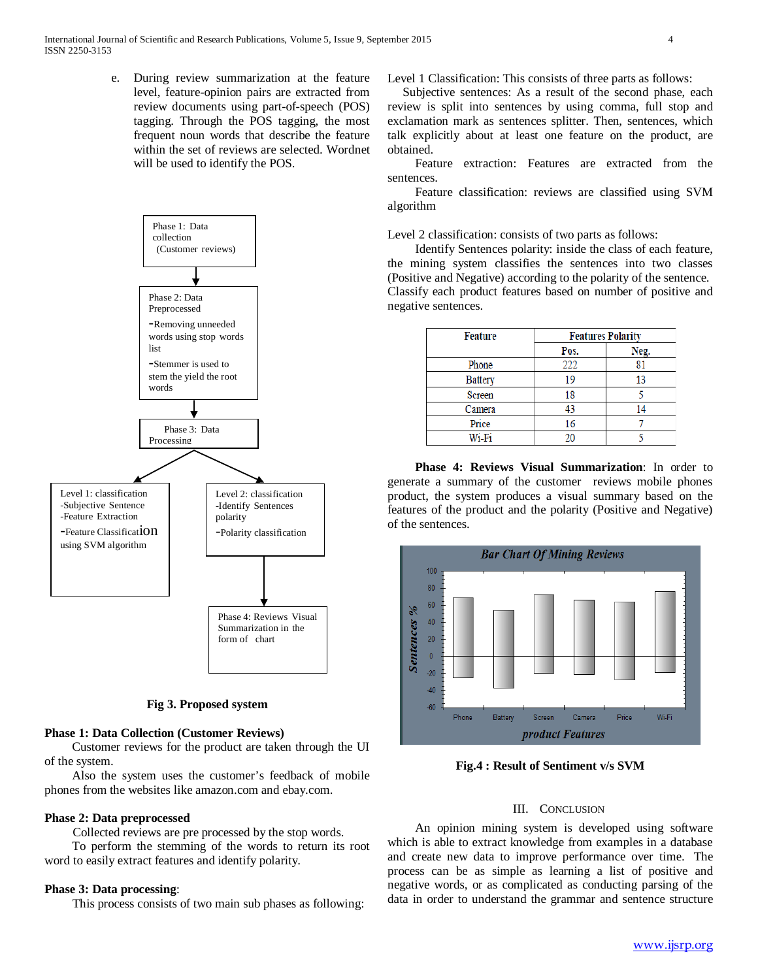e. During review summarization at the feature level, feature-opinion pairs are extracted from review documents using part-of-speech (POS) tagging. Through the POS tagging, the most frequent noun words that describe the feature within the set of reviews are selected. Wordnet will be used to identify the POS.



#### **Fig 3. Proposed system**

#### **Phase 1: Data Collection (Customer Reviews)**

 Customer reviews for the product are taken through the UI of the system.

 Also the system uses the customer's feedback of mobile phones from the websites like amazon.com and ebay.com.

## **Phase 2: Data preprocessed**

Collected reviews are pre processed by the stop words.

 To perform the stemming of the words to return its root word to easily extract features and identify polarity.

## **Phase 3: Data processing**:

This process consists of two main sub phases as following:

Level 1 Classification: This consists of three parts as follows:

 Subjective sentences: As a result of the second phase, each review is split into sentences by using comma, full stop and exclamation mark as sentences splitter. Then, sentences, which talk explicitly about at least one feature on the product, are obtained.

 Feature extraction: Features are extracted from the sentences.

 Feature classification: reviews are classified using SVM algorithm

Level 2 classification: consists of two parts as follows:

 Identify Sentences polarity: inside the class of each feature, the mining system classifies the sentences into two classes (Positive and Negative) according to the polarity of the sentence. Classify each product features based on number of positive and negative sentences.

| <b>Feature</b> | <b>Features Polarity</b> |      |
|----------------|--------------------------|------|
|                | Pos.                     | Neg. |
| Phone          | 222                      | 81   |
| Battery        | 19                       | 13   |
| Screen         | 18                       |      |
| Camera         | 43                       | 14   |
| Price          | 16                       |      |
| Wi-Fi          | ገስ                       |      |

 **Phase 4: Reviews Visual Summarization**: In order to generate a summary of the customer reviews mobile phones product, the system produces a visual summary based on the features of the product and the polarity (Positive and Negative) of the sentences.



**Fig.4 : Result of Sentiment v/s SVM**

### III. CONCLUSION

 An opinion mining system is developed using software which is able to extract knowledge from examples in a database and create new data to improve performance over time. The process can be as simple as learning a list of positive and negative words, or as complicated as conducting parsing of the data in order to understand the grammar and sentence structure